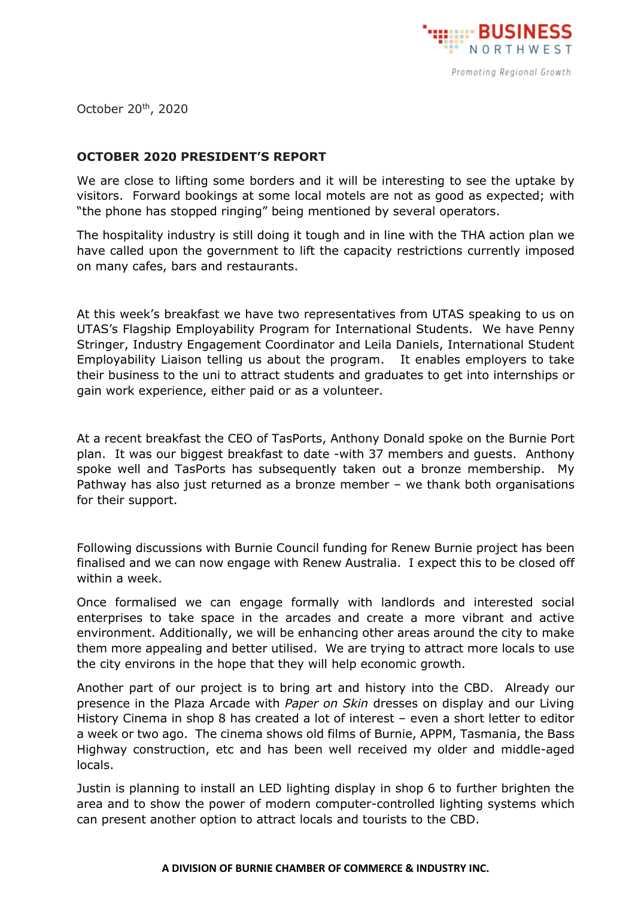

October 20th, 2020

## **OCTOBER 2020 PRESIDENT'S REPORT**

We are close to lifting some borders and it will be interesting to see the uptake by visitors. Forward bookings at some local motels are not as good as expected; with "the phone has stopped ringing" being mentioned by several operators.

The hospitality industry is still doing it tough and in line with the THA action plan we have called upon the government to lift the capacity restrictions currently imposed on many cafes, bars and restaurants.

At this week's breakfast we have two representatives from UTAS speaking to us on UTAS's Flagship Employability Program for International Students. We have Penny Stringer, Industry Engagement Coordinator and Leila Daniels, International Student Employability Liaison telling us about the program. It enables employers to take their business to the uni to attract students and graduates to get into internships or gain work experience, either paid or as a volunteer.

At a recent breakfast the CEO of TasPorts, Anthony Donald spoke on the Burnie Port plan. It was our biggest breakfast to date -with 37 members and guests. Anthony spoke well and TasPorts has subsequently taken out a bronze membership. My Pathway has also just returned as a bronze member – we thank both organisations for their support.

Following discussions with Burnie Council funding for Renew Burnie project has been finalised and we can now engage with Renew Australia. I expect this to be closed off within a week.

Once formalised we can engage formally with landlords and interested social enterprises to take space in the arcades and create a more vibrant and active environment. Additionally, we will be enhancing other areas around the city to make them more appealing and better utilised. We are trying to attract more locals to use the city environs in the hope that they will help economic growth.

Another part of our project is to bring art and history into the CBD. Already our presence in the Plaza Arcade with *Paper on Skin* dresses on display and our Living History Cinema in shop 8 has created a lot of interest – even a short letter to editor a week or two ago. The cinema shows old films of Burnie, APPM, Tasmania, the Bass Highway construction, etc and has been well received my older and middle-aged locals.

Justin is planning to install an LED lighting display in shop 6 to further brighten the area and to show the power of modern computer-controlled lighting systems which can present another option to attract locals and tourists to the CBD.